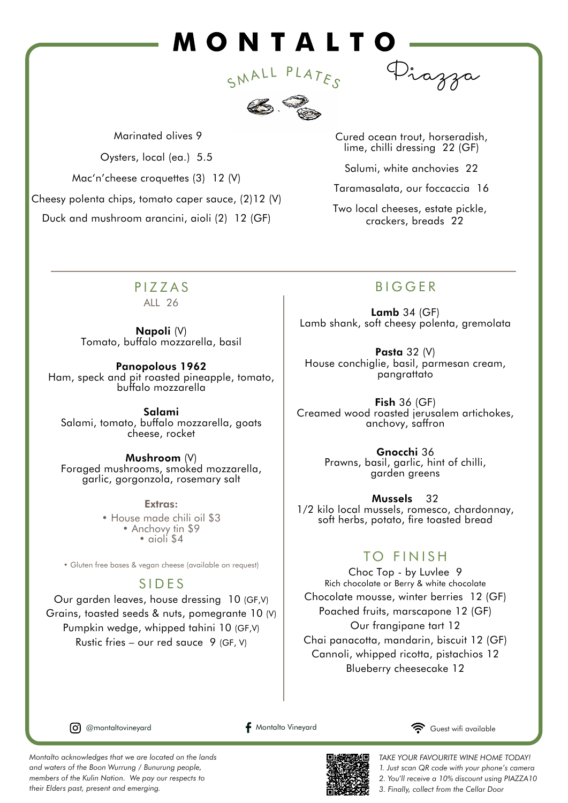# MONTALTO

SMALL PLATES



Piazza

Cured ocean trout, horseradish, lime, chilli dressing 22 (GF)

Salumi, white anchovies 22

Taramasalata, our foccaccia 16

Two local cheeses, estate pickle, crackers, breads 22

## PIZZAS

**Napoli** (V) Tomato, buffalo mozzarella, basil

Marinated olives 9

Oysters, local (ea.) 5.5

Mac'n'cheese croquettes (3) 12 (V)

Cheesy polenta chips, tomato caper sauce, (2)12 (V)

Duck and mushroom arancini, aioli (2) 12 (GF)

BIGGER

**Lamb** 34 (GF) Lamb shank, soft cheesy polenta, gremolata

**Pasta** 32 (V) House conchiglie, basil, parmesan cream, pangrattato

**Fish** 36 (GF) Creamed wood roasted jerusalem artichokes, anchovy, saffron

> **Gnocchi** 36 Prawns, basil, garlic, hint of chilli, garden greens

**Mussels** 32 1/2 kilo local mussels, romesco, chardonnay, soft herbs, potato, fire toasted bread

## TO FINISH

Choc Top - by Luvlee 9 Rich chocolate or Berry & white chocolate Chocolate mousse, winter berries 12 (GF) Poached fruits, marscapone 12 (GF) Our frangipane tart 12 Chai panacotta, mandarin, biscuit 12 (GF) Cannoli, whipped ricotta, pistachios 12 Blueberry cheesecake 12

**Panopolous 1962**  Ham, speck and pit roasted pineapple, tomato, buffalo mozzarella

**Salami** Salami, tomato, buffalo mozzarella, goats cheese, rocket

**Mushroom** (V) Foraged mushrooms, smoked mozzarella, garlic, gorgonzola, rosemary salt

## SIDES

Our garden leaves, house dressing 10 (GF,V) Grains, toasted seeds & nuts, pomegrante 10 (V) Pumpkin wedge, whipped tahini 10 (GF,V) Rustic fries – our red sauce  $9$  (GF, V)

 $\overline{\odot}$  @montaltovineyard **f** Montalto Vineyard  $\overline{\odot}$  Guest wifi available



*Montalto acknowledges that we are located on the lands and waters of the Boon Wurrung / Bunurung people, members of the Kulin Nation. We pay our respects to their Elders past, present and emerging.*



*TAKE YOUR FAVOURITE WINE HOME TODAY! 1. Just scan QR code with your phone's camera 2. You'll receive a 10% discount using PIAZZA10 3. Finally, collect from the Cellar Door*